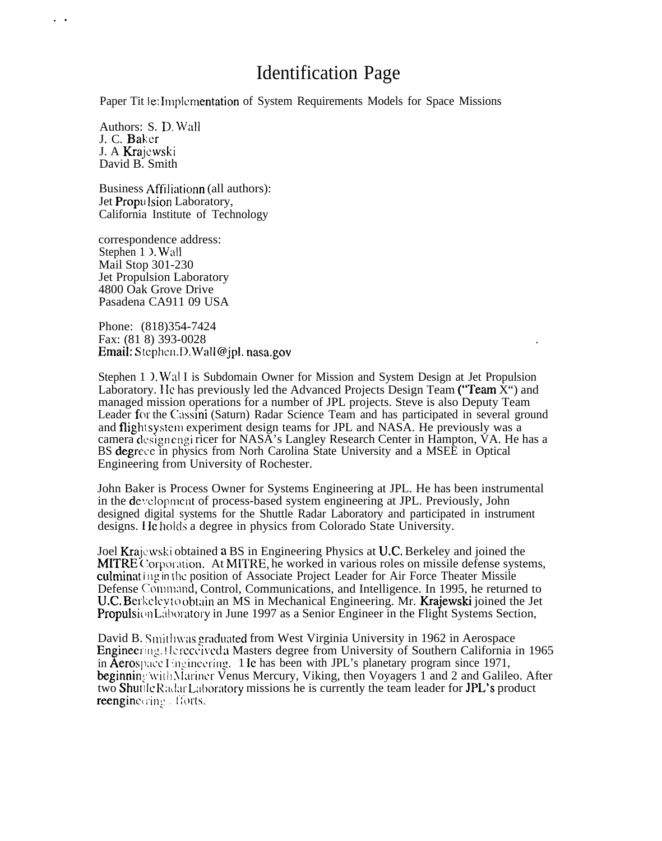# Identification Page

Paper Tit le: Implementation of System Requirements Models for Space Missions

Authors: S. D. Wall J. C. Baker J. A Krajcwski David B. Smith

. .

Business Affiliationn (all authors): Jet Propulsion Laboratory, California Institute of Technology

correspondence address: Stephen 1  $\lambda$ . Wall Mail Stop 301-230 Jet Propulsion Laboratory 4800 Oak Grove Drive Pasadena CA911 09 USA

Phone: (818)354-7424 Fax: (81 8) 393-0028 Email: Stephen.D.Wall@jpl. nasa.gov

Stephen 1  $\Sigma$ . Wal I is Subdomain Owner for Mission and System Design at Jet Propulsion Laboratory. He has previously led the Advanced Projects Design Team ("Team  $\bar{X}$ ") and managed mission operations for a number of JPL projects. Steve is also Deputy Team Leader for the Cassini (Saturn) Radar Science Team and has participated in several ground and flight system experiment design teams for JPL and NASA. He previously was a camera clcsign engi ricer for NASA's Langley Research Center in Hampton, VA. He has a BS degrece in physics from Norh Carolina State University and a MSEE in Optical Engineering from University of Rochester.

.

John Baker is Process Owner for Systems Engineering at JPL. He has been instrumental in the development of process-based system engineering at JPL. Previously, John designed digital systems for the Shuttle Radar Laboratory and participated in instrument designs. He holds a degree in physics from Colorado State University.

Joel Krajcwski obtained a BS in Engineering Physics at U.C, Berkeley and joined the MITRE Corporation. At MITRE, he worked in various roles on missile defense systems, culminat ing in the position of Associate Project Leader for Air Force Theater Missile Defense Command, Control, Communications, and Intelligence. In 1995, he returned to U.C. Berkelevto obtain an MS in Mechanical Engineering. Mr. Krajewski joined the Jet Propulsion Laboratory in June 1997 as a Senior Engineer in the Flight Systems Section,

David B. Smithwas graduated from West Virginia University in 1962 in Aerospace Engineering. Hereceived a Masters degree from University of Southern California in 1965 in Aerospace I ingineering. 1 Ie has been with JPL's planetary program since 1971, beginning with Mariner Venus Mercury, Viking, then Voyagers 1 and 2 and Galileo. After two Shuttle Radar Laboratory missions he is currently the team leader for JPL's product reengine cring. Forts.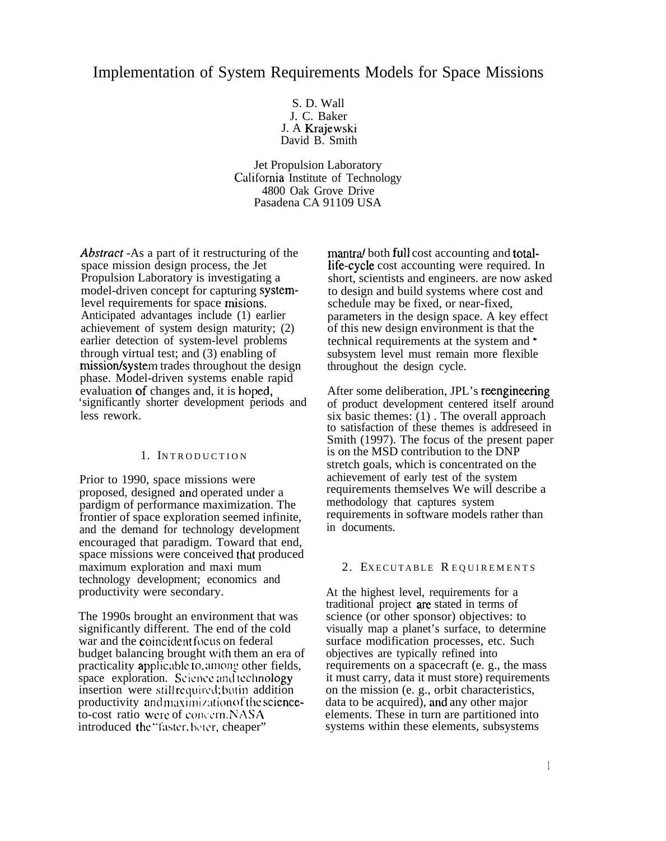# Implementation of System Requirements Models for Space Missions

S. D. Wall J. C. Baker J. A Krajewski David B. Smith

Jet Propulsion Laboratory California Institute of Technology 4800 Oak Grove Drive Pasadena CA 91109 USA

Abstract -As a part of it restructuring of the space mission design process, the Jet Propulsion Laboratory is investigating a model-driven concept for capturing systemlevel requirements for space misions. Anticipated advantages include (1) earlier achievement of system design maturity; (2) earlier detection of system-level problems through virtual test; and (3) enabling of mission/system trades throughout the design phase. Model-driven systems enable rapid evaluation of changes and, it is hoped, 'significantly shorter development periods and less rework.

#### 1. INTRODUCTION

Prior to 1990, space missions were proposed, designed and operated under a pardigm of performance maximization. The frontier of space exploration seemed infinite, and the demand for technology development encouraged that paradigm. Toward that end, space missions were conceived that produced maximum exploration and maxi mum technology development; economics and productivity were secondary.

The 1990s brought an environment that was significantly different. The end of the cold war and the coincident focus on federal budget balancing brought with them an era of practicality applicable to, among other fields, space exploration. Science and technology insertion were still required; but in addition productivity and maximization of the scienceto-cost ratio were of concern.  $NASA$ introduced the "faster, beter, cheaper"

mantra both full cost accounting and total-Iife-cycle cost accounting were required. In short, scientists and engineers. are now asked to design and build systems where cost and schedule may be fixed, or near-fixed, parameters in the design space. A key effect of this new design environment is that the technical requirements at the system and  $\bullet$ subsystem level must remain more flexible throughout the design cycle.

After some deliberation, JPL's reengineering of product development centered itself around six basic themes:  $(1)$ . The overall approach to satisfaction of these themes is addreseed in Smith (1997). The focus of the present paper is on the MSD contribution to the DNP stretch goals, which is concentrated on the achievement of early test of the system requirements themselves We will describe a methodology that captures system requirements in software models rather than in documents.

#### 2. EXECUTABLE REQUIREMENTS

At the highest level, requirements for a traditional project are stated in terms of science (or other sponsor) objectives: to visually map a planet's surface, to determine surface modification processes, etc. Such objectives are typically refined into requirements on a spacecraft (e. g., the mass it must carry, data it must store) requirements on the mission (e. g., orbit characteristics, data to be acquired), and any other major elements. These in turn are partitioned into systems within these elements, subsystems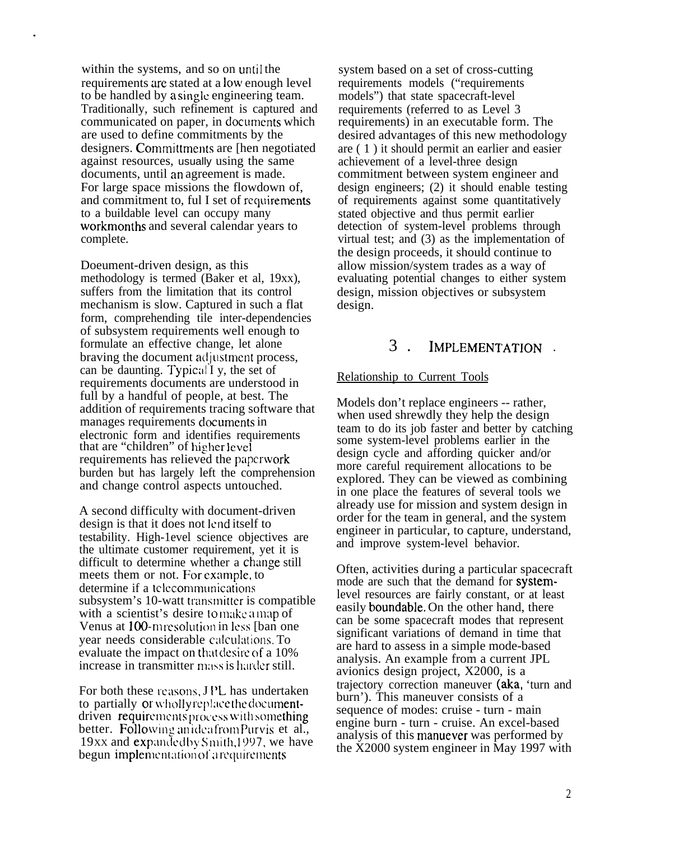within the systems, and so on until the requirements are stated at a low enough level to be handled by a single engineering team. Traditionally, such refinement is captured and communicated on paper, in documents which are used to define commitments by the designers. Committments are Then negotiated against resources, usually using the same documents, until an agreement is made. For large space missions the flowdown of, and commitment to, ful I set of requirements to a buildable level can occupy many workmonths and several calendar years to complete.

Doeument-driven design, as this methodology is termed (Baker et al, 19xx), suffers from the limitation that its control mechanism is slow. Captured in such a flat form, comprehending tile inter-dependencies of subsystem requirements well enough to formulate an effective change, let alone braving the document adjustment process. can be daunting. Typical I y, the set of requirements documents are understood in full by a handful of people, at best. The addition of requirements tracing software that manages requirements documents in electronic form and identifies requirements that are "children" of higher level requirements has relieved the paperwork burden but has largely left the comprehension and change control aspects untouched.

A second difficulty with document-driven design is that it does not lend itself to testability. High-1evel science objectives are the ultimate customer requirement, yet it is difficult to determine whether a change still meets them or not. For example, to determine if a telecommunications subsystem's 10-watt transmitter is compatible with a scientist's desire to make a map of Venus at 100-m resolution in less [ban one] year needs considerable calculations. To evaluate the impact on that desire of a 10% increase in transmitter mass is harder still.

For both these reasons, JPL has undertaken to partially or wholly replace the documentdriven requirements process with something better. Following an idea from Purvis et al., 19xx and expanded by Smith, 1997, we have begun implementation of arequirements

system based on a set of cross-cutting requirements models ("requirements models") that state spacecraft-level requirements (referred to as Level 3 requirements) in an executable form. The desired advantages of this new methodology are ( 1 ) it should permit an earlier and easier achievement of a level-three design commitment between system engineer and design engineers; (2) it should enable testing of requirements against some quantitatively stated objective and thus permit earlier detection of system-level problems through virtual test; and (3) as the implementation of the design proceeds, it should continue to allow mission/system trades as a way of evaluating potential changes to either system design, mission objectives or subsystem design.

## 3 . IMPLEMENTATION .

#### Relationship to Current Tools

Models don't replace engineers -- rather, when used shrewdly they help the design team to do its job faster and better by catching some system-level problems earlier in the design cycle and affording quicker and/or more careful requirement allocations to be explored. They can be viewed as combining in one place the features of several tools we already use for mission and system design in order for the team in general, and the system engineer in particular, to capture, understand, and improve system-level behavior.

Often, activities during a particular spacecraft mode are such that the demand for systemlevel resources are fairly constant, or at least easily boundable. On the other hand, there can be some spacecraft modes that represent significant variations of demand in time that are hard to assess in a simple mode-based analysis. An example from a current JPL avionics design project, X2000, is a trajectory correction maneuver (aka, 'turn and burn'). This maneuver consists of a sequence of modes: cruise - turn - main engine burn - turn - cruise. An excel-based analysis of this manuever was performed by the X2000 system engineer in May 1997 with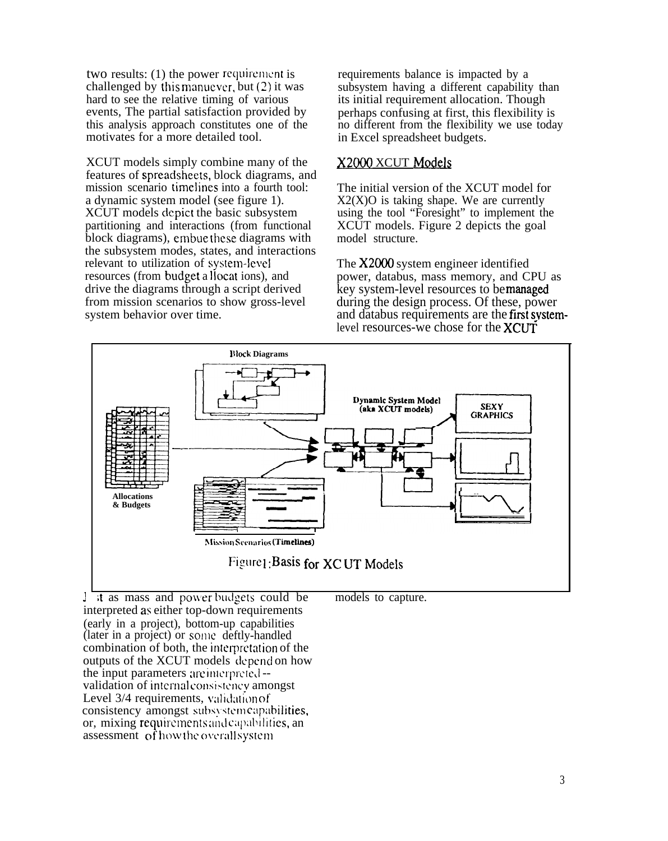two results:  $(1)$  the power requirement is challenged by this manuever, but  $(2)$  it was hard to see the relative timing of various events, The partial satisfaction provided by this analysis approach constitutes one of the motivates for a more detailed tool.

XCUT models simply combine many of the features of spreacisheets, block diagrams, and mission scenario timelines into a fourth tool: a dynamic system model (see figure 1). XCUT models depict the basic subsystem partitioning and interactions (from functional block diagrams), embue these diagrams with the subsystem modes, states, and interactions relevant to utilization of system-level resources (from budget a llocat ions), and drive the diagrams through a script derived from mission scenarios to show gross-level system behavior over time.

requirements balance is impacted by a subsystem having a different capability than its initial requirement allocation. Though perhaps confusing at first, this flexibility is no different from the flexibility we use today in Excel spreadsheet budgets.

## X2000 XCUT Models

The initial version of the XCUT model for  $X2(X)O$  is taking shape. We are currently using the tool "Foresight" to implement the XCUT models. Figure 2 depicts the goal model structure.

The  $X2000$  system engineer identified power, databus, mass memory, and CPU as key system-level resources to be managed during the design process. Of these, power and databus requirements are the first systemlevel resources-we chose for the **XCUT** 



I it as mass and powerbudgets could be models to capture. interpreted as either top-down requirements (early in a project), bottom-up capabilities (later in a project) or some deftly-handled combination of both, the interpretation of the outputs of the XCUT models 'depend on how the input parameters are interpreted-validation of internal consistency amongst Level 3/4 requirements, validation of consistency amongst subsystem capabilities, or, mixing requirements and capabilities, an assessment of how the overall system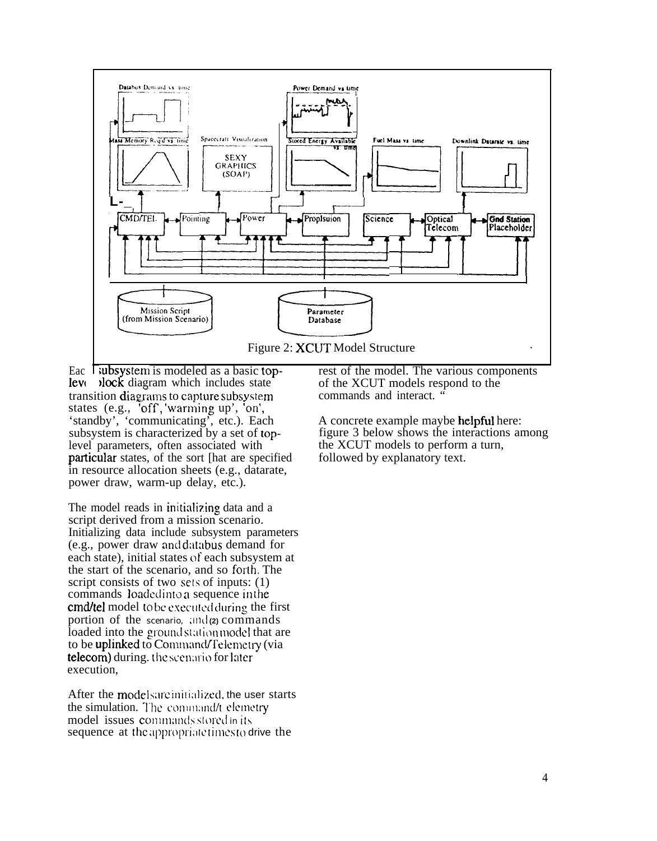

Eac Tubsystem is modeled as a basic topleve block diagram which includes state transition diagrams to capture subsystem states (e.g., 'off,'warming up', 'on', 'standby', 'communicating', etc.). Each subsystem is characterized by a set of toplevel parameters, often associated with particular states, of the sort [hat are specified] in resource allocation sheets (e.g., datarate, power draw, warm-up delay, etc.).

The model reads in initializing data and a script derived from a mission scenario. Initializing data include subsystem parameters (e.g., power draw and databus demand for each state), initial states of each subsystem at the start of the scenario, and so forth. The script consists of two sets of inputs: (1) commands loaded into a sequence in the **cmd/tel** model to be executed during the first portion of the scenario, and (2) commands loaded into the ground station model that are to be **uplinked** to Command/Telemetry (via telecom) during. the scenario for later execution.

After the models are initialized, the user starts the simulation. The command/t elemetry model issues commands stored in its sequence at the appropriate times to drive the

rest of the model. The various components of the XCUT models respond to the commands and interact. '

A concrete example maybe helpful here: figure 3 below shows the interactions among the XCUT models to perform a turn, followed by explanatory text.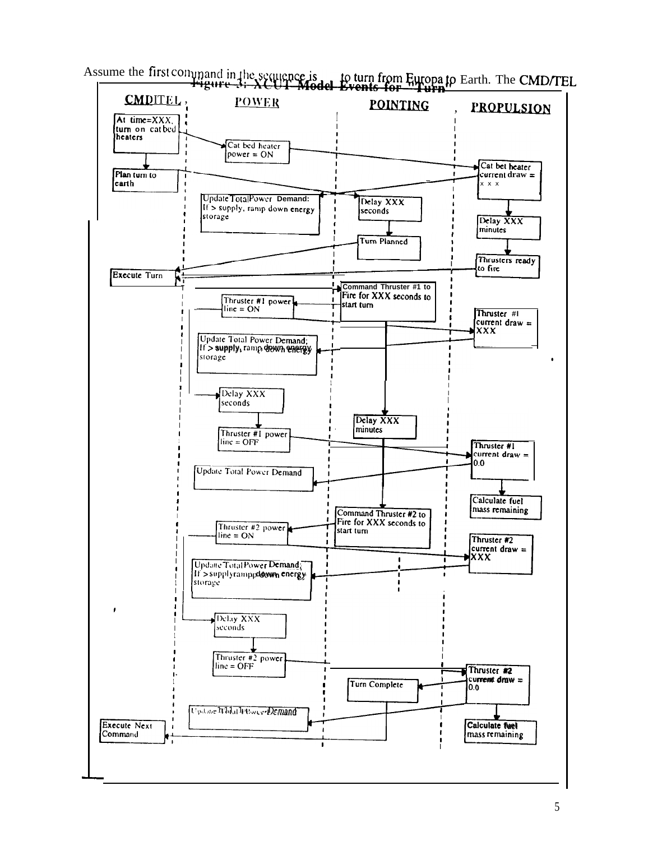

Assume the first command in the sequence is to turn from Europa to Earth. The CMD/TEL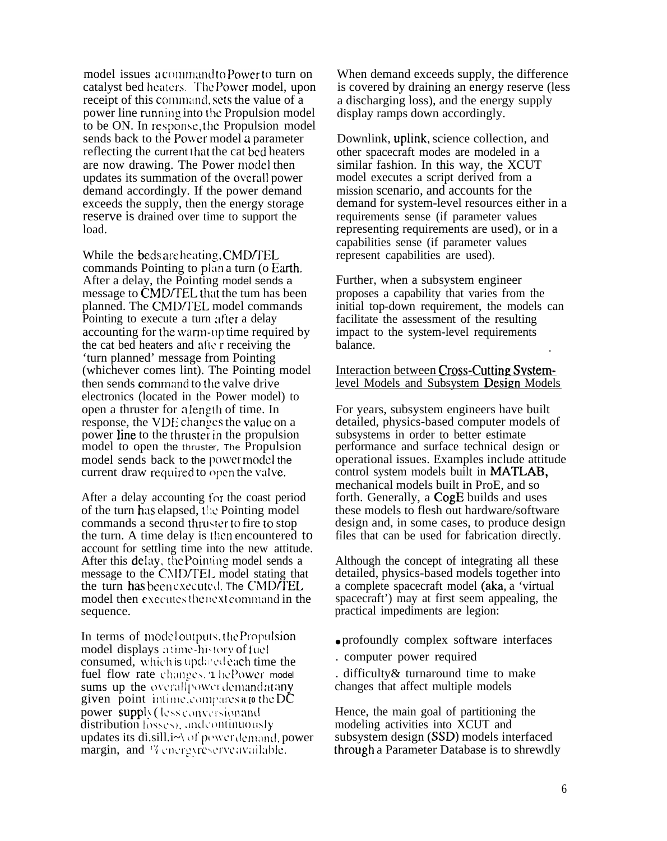model issues a command to Power to turn on catalyst bed heaters. The Power model, upon receipt of this command, sets the value of a power line running into the Propulsion model to be ON. In response, Ihc Propulsion model sends back to the Power model a parameter reflecting the current that the cat bed heaters are now drawing. The Power mode] then updates its summation of the overall power demand accordingly. If the power demand exceeds the supply, then the energy storage reserve is drained over time to support the load.

While the beds are heating, CMD/TEL commands Pointing to plan a turn (o Earth. After a delay, the Pointing model sends a message to CMD/TEL that the tum has been planned. The CMD/TEL model commands Pointing to execute a turn after a delay accounting for the warm-up time required by the cat bed heaters and atlc r receiving the 'turn planned' message from Pointing (whichever comes lint). The Pointing model then sends command to the valve drive electronics (located in the Power model) to open a thruster for a length of time. In response, the VDE changes the value on a power line to the thruster in the propulsion model to open the thruster, The Propulsion model sends back to the power model the current draw required to open the valve.

After a delay accounting for the coast period of the turn has elapsed, [I:c Pointing model commands a second thruster to fire to stop the turn. A time delay is then encountered to account for settling time into the new attitude. After this delay, the Pointing model sends a message to the CMD/TEL model stating that the turn has been executed. The CMD/TEL model then executes the next command in the sequence.

In terms of model outputs, the Propulsion model displays atime-history of fuel consumed, which is updated each time the fuel flow rate changes. '1 he Power model sums up the overall power demandatany given point intime.compares it to the DC power supply (less conversion and  $distriolution$  losses), and continuously updates its di.sill.i $\sim$  of power demand, power margin, and "Venergyreserve available.

When demand exceeds supply, the difference is covered by draining an energy reserve (less a discharging loss), and the energy supply display ramps down accordingly.

Downlink, uplink, science collection, and other spacecraft modes are modeled in a similar fashion. In this way, the XCUT model executes a script derived from a mission scenario, and accounts for the demand for system-level resources either in a requirements sense (if parameter values representing requirements are used), or in a capabilities sense (if parameter values represent capabilities are used).

Further, when a subsystem engineer proposes a capability that varies from the initial top-down requirement, the models can facilitate the assessment of the resulting impact to the system-level requirements balance. .

#### Interaction between Cross-Cutting Systemlevel Models and Subsystem Design Models

For years, subsystem engineers have built detailed, physics-based computer models of subsystems in order to better estimate performance and surface technical design or operational issues. Examples include attitude control system models built in MATLAB, mechanical models built in ProE, and so forth. Generally, a CogE builds and uses these models to flesh out hardware/software design and, in some cases, to produce design files that can be used for fabrication directly.

Although the concept of integrating all these detailed, physics-based models together into a complete spacecraft model (aka, a 'virtual spacecraft') may at first seem appealing, the practical impediments are legion:

- profoundly complex software interfaces
- . computer power required

. difficulty& turnaround time to make changes that affect multiple models

Hence, the main goal of partitioning the modeling activities into XCUT and subsystem design (SSD) models interfaced [hrough a Parameter Database is to shrewdly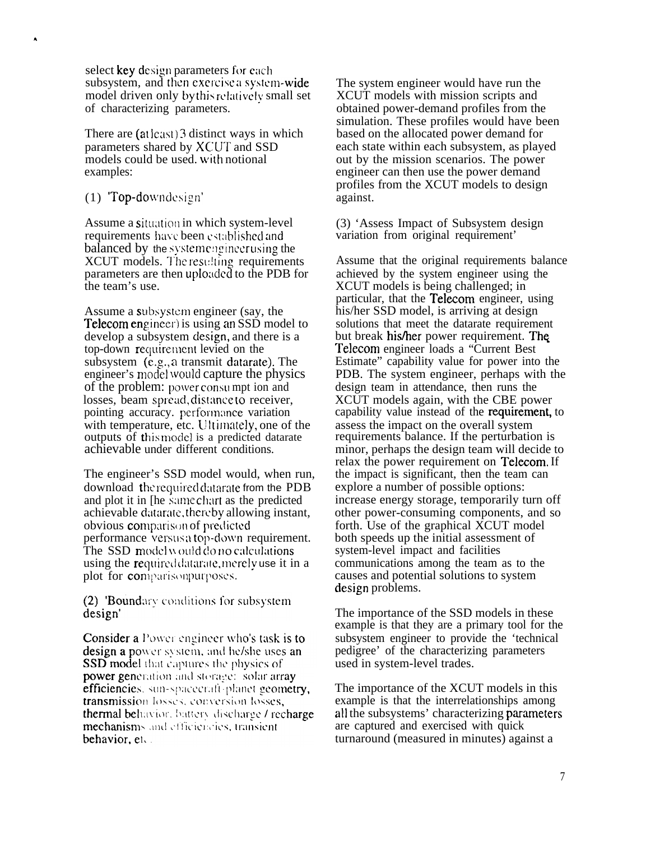select key design parameters for each subsystem, and then exercise a system-wide model driven only by this relatively small set of characterizing parameters.

There are (at least) 3 distinct ways in which parameters shared by XCUT and SSD models could be used, with notional examples:

### (1) Top-downdesign'

 $\hat{\mathbf{A}}$ 

Assume a situation in which system-level requirements have been established and balanced by the system engineer using the XCUT models. The resulting requirements parameters are then uploaded to the PDB for the team's use.

Assume a subsystem engineer (say, the **Telecom engineer**) is using an SSD model to develop a subsystem design, and there is a top-down requirement levied on the subsystem (e.g., a transmit datarate). The engineer's model would capture the physics of the problem: power consumpt ion and losses, beam spread, distance to receiver, pointing accuracy, performance variation with temperature, etc. Ultimately, one of the outputs of this model is a predicted datarate achievable under different conditions.

The engineer's SSD model would, when run, download the required datarate from the PDB and plot it in [he same chart as the predicted] achievable datarate, thereby allowing instant, obvious comparison of predicted performance versus a top-down requirement. The SSD model would do no calculations using the required datarate, merely use it in a plot for comparisonpurposes.

(2) Boundary conditions for subsystem design'

**Consider a** Power engineer who's task is to design a power system, and he/she uses an **SSD** model that captures the physics of power generation and storage: solar array efficiencies. sun-spacecraft-planet geometry, transmission losses, conversion losses, thermal behavior, battery discharge / recharge mechanisms and efficiencies, transient behavior, et.

The system engineer would have run the XCUT models with mission scripts and obtained power-demand profiles from the simulation. These profiles would have been based on the allocated power demand for each state within each subsystem, as played out by the mission scenarios. The power engineer can then use the power demand profiles from the XCUT models to design against.

(3) 'Assess Impact of Subsystem design variation from original requirement'

Assume that the original requirements balance achieved by the system engineer using the XCUT models is being challenged; in particular, that the **Telecom** engineer, using his/her SSD model, is arriving at design solutions that meet the datarate requirement but break his/her power requirement. The Telecom engineer loads a "Current Best" Estimate" capability value for power into the PDB. The system engineer, perhaps with the design team in attendance, then runs the XCUT models again, with the CBE power capability value instead of the **requirement**, to assess the impact on the overall system requirements balance. If the perturbation is minor, perhaps the design team will decide to relax the power requirement on **Telecom**. If the impact is significant, then the team can explore a number of possible options: increase energy storage, temporarily turn off other power-consuming components, and so forth. Use of the graphical XCUT model both speeds up the initial assessment of system-level impact and facilities communications among the team as to the causes and potential solutions to system design problems.

The importance of the SSD models in these example is that they are a primary tool for the subsystem engineer to provide the 'technical' pedigree' of the characterizing parameters used in system-level trades.

The importance of the XCUT models in this example is that the interrelationships among all the subsystems' characterizing parameters are captured and exercised with quick turnaround (measured in minutes) against a